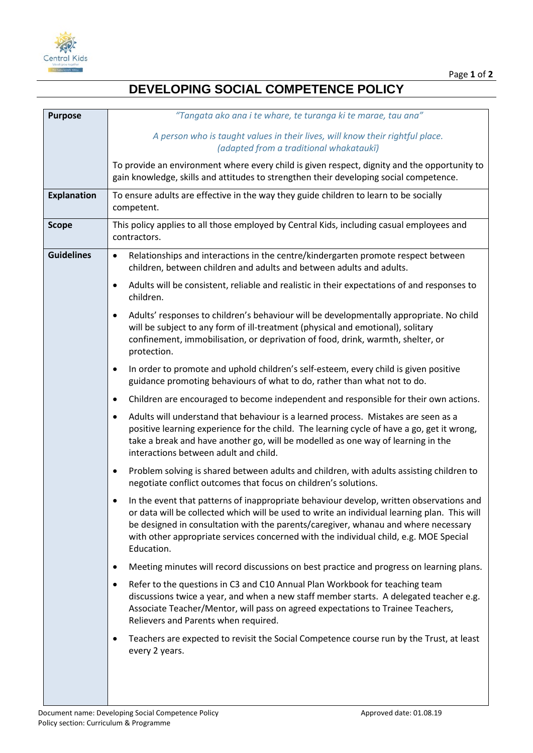

## **DEVELOPING SOCIAL COMPETENCE POLICY**

| <b>Purpose</b>     | "Tangata ako ana i te whare, te turanga ki te marae, tau ana"                                                                                                                                                                                                                                                                                                                        |
|--------------------|--------------------------------------------------------------------------------------------------------------------------------------------------------------------------------------------------------------------------------------------------------------------------------------------------------------------------------------------------------------------------------------|
|                    | A person who is taught values in their lives, will know their rightful place.<br>(adapted from a traditional whakataukī)                                                                                                                                                                                                                                                             |
|                    | To provide an environment where every child is given respect, dignity and the opportunity to<br>gain knowledge, skills and attitudes to strengthen their developing social competence.                                                                                                                                                                                               |
| <b>Explanation</b> | To ensure adults are effective in the way they guide children to learn to be socially<br>competent.                                                                                                                                                                                                                                                                                  |
| <b>Scope</b>       | This policy applies to all those employed by Central Kids, including casual employees and<br>contractors.                                                                                                                                                                                                                                                                            |
| <b>Guidelines</b>  | Relationships and interactions in the centre/kindergarten promote respect between<br>$\bullet$<br>children, between children and adults and between adults and adults.                                                                                                                                                                                                               |
|                    | Adults will be consistent, reliable and realistic in their expectations of and responses to<br>٠<br>children.                                                                                                                                                                                                                                                                        |
|                    | Adults' responses to children's behaviour will be developmentally appropriate. No child<br>$\bullet$<br>will be subject to any form of ill-treatment (physical and emotional), solitary<br>confinement, immobilisation, or deprivation of food, drink, warmth, shelter, or<br>protection.                                                                                            |
|                    | In order to promote and uphold children's self-esteem, every child is given positive<br>٠<br>guidance promoting behaviours of what to do, rather than what not to do.                                                                                                                                                                                                                |
|                    | Children are encouraged to become independent and responsible for their own actions.<br>٠                                                                                                                                                                                                                                                                                            |
|                    | Adults will understand that behaviour is a learned process. Mistakes are seen as a<br>٠<br>positive learning experience for the child. The learning cycle of have a go, get it wrong,<br>take a break and have another go, will be modelled as one way of learning in the<br>interactions between adult and child.                                                                   |
|                    | Problem solving is shared between adults and children, with adults assisting children to<br>٠<br>negotiate conflict outcomes that focus on children's solutions.                                                                                                                                                                                                                     |
|                    | In the event that patterns of inappropriate behaviour develop, written observations and<br>or data will be collected which will be used to write an individual learning plan. This will<br>be designed in consultation with the parents/caregiver, whanau and where necessary<br>with other appropriate services concerned with the individual child, e.g. MOE Special<br>Education. |
|                    | Meeting minutes will record discussions on best practice and progress on learning plans.<br>٠                                                                                                                                                                                                                                                                                        |
|                    | Refer to the questions in C3 and C10 Annual Plan Workbook for teaching team<br>discussions twice a year, and when a new staff member starts. A delegated teacher e.g.<br>Associate Teacher/Mentor, will pass on agreed expectations to Trainee Teachers,<br>Relievers and Parents when required.                                                                                     |
|                    | Teachers are expected to revisit the Social Competence course run by the Trust, at least<br>every 2 years.                                                                                                                                                                                                                                                                           |
|                    |                                                                                                                                                                                                                                                                                                                                                                                      |